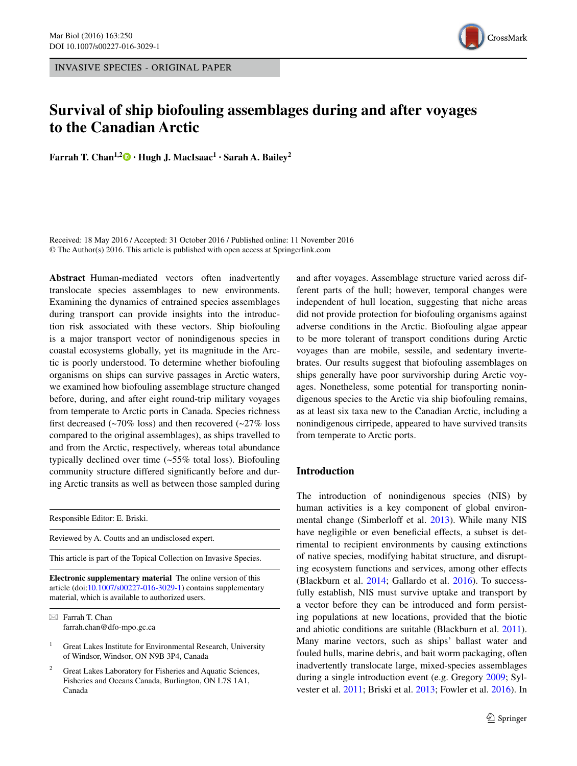INVASIVE SPECIES - ORIGINAL PAPER



# **Survival of ship biofouling assemblages during and after voyages to the Canadian Arctic**

**Farrah T.** Chan<sup>1,[2](http://orcid.org/0000-0002-1062-6707)</sup> $\bullet$  **· Hugh J.** MacIsaac<sup>1</sup> **· Sarah** A. Bailey<sup>2</sup>

Received: 18 May 2016 / Accepted: 31 October 2016 / Published online: 11 November 2016 © The Author(s) 2016. This article is published with open access at Springerlink.com

**Abstract** Human-mediated vectors often inadvertently translocate species assemblages to new environments. Examining the dynamics of entrained species assemblages during transport can provide insights into the introduction risk associated with these vectors. Ship biofouling is a major transport vector of nonindigenous species in coastal ecosystems globally, yet its magnitude in the Arctic is poorly understood. To determine whether biofouling organisms on ships can survive passages in Arctic waters, we examined how biofouling assemblage structure changed before, during, and after eight round-trip military voyages from temperate to Arctic ports in Canada. Species richness first decreased  $(\sim 70\%$  loss) and then recovered  $(\sim 27\%$  loss compared to the original assemblages), as ships travelled to and from the Arctic, respectively, whereas total abundance typically declined over time (~55% total loss). Biofouling community structure differed significantly before and during Arctic transits as well as between those sampled during

Responsible Editor: E. Briski.

Reviewed by A. Coutts and an undisclosed expert.

This article is part of the Topical Collection on Invasive Species.

**Electronic supplementary material** The online version of this article (doi[:10.1007/s00227-016-3029-1](http://dx.doi.org/10.1007/s00227-016-3029-1)) contains supplementary material, which is available to authorized users.

 $\boxtimes$  Farrah T. Chan farrah.chan@dfo-mpo.gc.ca

- $1$  Great Lakes Institute for Environmental Research, University of Windsor, Windsor, ON N9B 3P4, Canada
- Great Lakes Laboratory for Fisheries and Aquatic Sciences, Fisheries and Oceans Canada, Burlington, ON L7S 1A1, Canada

and after voyages. Assemblage structure varied across different parts of the hull; however, temporal changes were independent of hull location, suggesting that niche areas did not provide protection for biofouling organisms against adverse conditions in the Arctic. Biofouling algae appear to be more tolerant of transport conditions during Arctic voyages than are mobile, sessile, and sedentary invertebrates. Our results suggest that biofouling assemblages on ships generally have poor survivorship during Arctic voyages. Nonetheless, some potential for transporting nonindigenous species to the Arctic via ship biofouling remains, as at least six taxa new to the Canadian Arctic, including a nonindigenous cirripede, appeared to have survived transits from temperate to Arctic ports.

#### **Introduction**

The introduction of nonindigenous species (NIS) by human activities is a key component of global environmental change (Simberloff et al. [2013](#page-13-0)). While many NIS have negligible or even beneficial effects, a subset is detrimental to recipient environments by causing extinctions of native species, modifying habitat structure, and disrupting ecosystem functions and services, among other effects (Blackburn et al. [2014;](#page-11-0) Gallardo et al. [2016\)](#page-12-0). To successfully establish, NIS must survive uptake and transport by a vector before they can be introduced and form persisting populations at new locations, provided that the biotic and abiotic conditions are suitable (Blackburn et al. [2011](#page-11-1)). Many marine vectors, such as ships' ballast water and fouled hulls, marine debris, and bait worm packaging, often inadvertently translocate large, mixed-species assemblages during a single introduction event (e.g. Gregory [2009;](#page-12-1) Sylvester et al. [2011;](#page-13-1) Briski et al. [2013](#page-11-2); Fowler et al. [2016](#page-12-2)). In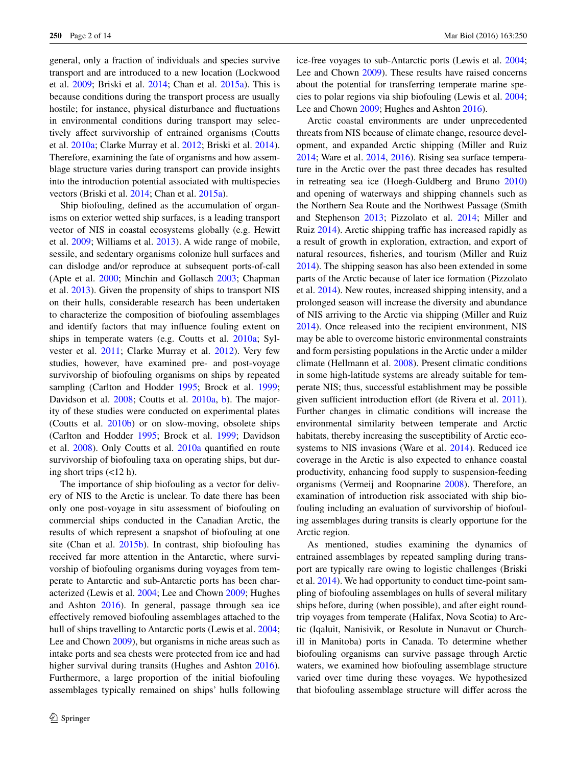general, only a fraction of individuals and species survive transport and are introduced to a new location (Lockwood et al. [2009;](#page-12-3) Briski et al. [2014;](#page-11-3) Chan et al. [2015a](#page-11-4)). This is because conditions during the transport process are usually hostile; for instance, physical disturbance and fluctuations in environmental conditions during transport may selectively affect survivorship of entrained organisms (Coutts et al. [2010a;](#page-12-4) Clarke Murray et al. [2012](#page-11-5); Briski et al. [2014](#page-11-3)). Therefore, examining the fate of organisms and how assemblage structure varies during transport can provide insights into the introduction potential associated with multispecies vectors (Briski et al. [2014](#page-11-3); Chan et al. [2015a\)](#page-11-4).

Ship biofouling, defined as the accumulation of organisms on exterior wetted ship surfaces, is a leading transport vector of NIS in coastal ecosystems globally (e.g. Hewitt et al. [2009;](#page-12-5) Williams et al. [2013\)](#page-13-2). A wide range of mobile, sessile, and sedentary organisms colonize hull surfaces and can dislodge and/or reproduce at subsequent ports-of-call (Apte et al. [2000](#page-11-6); Minchin and Gollasch [2003](#page-12-6); Chapman et al. [2013\)](#page-11-7). Given the propensity of ships to transport NIS on their hulls, considerable research has been undertaken to characterize the composition of biofouling assemblages and identify factors that may influence fouling extent on ships in temperate waters (e.g. Coutts et al. [2010a](#page-12-4); Sylvester et al. [2011](#page-13-1); Clarke Murray et al. [2012\)](#page-11-5). Very few studies, however, have examined pre- and post-voyage survivorship of biofouling organisms on ships by repeated sampling (Carlton and Hodder [1995;](#page-11-8) Brock et al. [1999](#page-11-9); Davidson et al. [2008](#page-12-7); Coutts et al. [2010a,](#page-12-4) [b\)](#page-12-8). The majority of these studies were conducted on experimental plates (Coutts et al. [2010b](#page-12-8)) or on slow-moving, obsolete ships (Carlton and Hodder [1995;](#page-11-8) Brock et al. [1999;](#page-11-9) Davidson et al. [2008\)](#page-12-7). Only Coutts et al. [2010a](#page-12-4) quantified en route survivorship of biofouling taxa on operating ships, but during short trips  $\left($  <12 h).

The importance of ship biofouling as a vector for delivery of NIS to the Arctic is unclear. To date there has been only one post-voyage in situ assessment of biofouling on commercial ships conducted in the Canadian Arctic, the results of which represent a snapshot of biofouling at one site (Chan et al. [2015b](#page-11-10)). In contrast, ship biofouling has received far more attention in the Antarctic, where survivorship of biofouling organisms during voyages from temperate to Antarctic and sub-Antarctic ports has been characterized (Lewis et al. [2004;](#page-12-9) Lee and Chown [2009](#page-12-10); Hughes and Ashton [2016](#page-12-11)). In general, passage through sea ice effectively removed biofouling assemblages attached to the hull of ships travelling to Antarctic ports (Lewis et al. [2004](#page-12-9); Lee and Chown [2009](#page-12-10)), but organisms in niche areas such as intake ports and sea chests were protected from ice and had higher survival during transits (Hughes and Ashton [2016](#page-12-11)). Furthermore, a large proportion of the initial biofouling assemblages typically remained on ships' hulls following

ice-free voyages to sub-Antarctic ports (Lewis et al. [2004](#page-12-9); Lee and Chown [2009](#page-12-10)). These results have raised concerns about the potential for transferring temperate marine species to polar regions via ship biofouling (Lewis et al. [2004](#page-12-9); Lee and Chown [2009;](#page-12-10) Hughes and Ashton [2016\)](#page-12-11).

Arctic coastal environments are under unprecedented threats from NIS because of climate change, resource development, and expanded Arctic shipping (Miller and Ruiz [2014](#page-12-12); Ware et al. [2014](#page-13-3), [2016\)](#page-13-4). Rising sea surface temperature in the Arctic over the past three decades has resulted in retreating sea ice (Hoegh-Guldberg and Bruno [2010\)](#page-12-13) and opening of waterways and shipping channels such as the Northern Sea Route and the Northwest Passage (Smith and Stephenson [2013](#page-13-5); Pizzolato et al. [2014](#page-13-6); Miller and Ruiz [2014\)](#page-12-12). Arctic shipping traffic has increased rapidly as a result of growth in exploration, extraction, and export of natural resources, fisheries, and tourism (Miller and Ruiz [2014](#page-12-12)). The shipping season has also been extended in some parts of the Arctic because of later ice formation (Pizzolato et al. [2014](#page-13-6)). New routes, increased shipping intensity, and a prolonged season will increase the diversity and abundance of NIS arriving to the Arctic via shipping (Miller and Ruiz [2014](#page-12-12)). Once released into the recipient environment, NIS may be able to overcome historic environmental constraints and form persisting populations in the Arctic under a milder climate (Hellmann et al. [2008\)](#page-12-14). Present climatic conditions in some high-latitude systems are already suitable for temperate NIS; thus, successful establishment may be possible given sufficient introduction effort (de Rivera et al. [2011](#page-12-15)). Further changes in climatic conditions will increase the environmental similarity between temperate and Arctic habitats, thereby increasing the susceptibility of Arctic ecosystems to NIS invasions (Ware et al. [2014\)](#page-13-3). Reduced ice coverage in the Arctic is also expected to enhance coastal productivity, enhancing food supply to suspension-feeding organisms (Vermeij and Roopnarine [2008](#page-13-7)). Therefore, an examination of introduction risk associated with ship biofouling including an evaluation of survivorship of biofouling assemblages during transits is clearly opportune for the Arctic region.

As mentioned, studies examining the dynamics of entrained assemblages by repeated sampling during transport are typically rare owing to logistic challenges (Briski et al. [2014\)](#page-11-3). We had opportunity to conduct time-point sampling of biofouling assemblages on hulls of several military ships before, during (when possible), and after eight roundtrip voyages from temperate (Halifax, Nova Scotia) to Arctic (Iqaluit, Nanisivik, or Resolute in Nunavut or Churchill in Manitoba) ports in Canada. To determine whether biofouling organisms can survive passage through Arctic waters, we examined how biofouling assemblage structure varied over time during these voyages. We hypothesized that biofouling assemblage structure will differ across the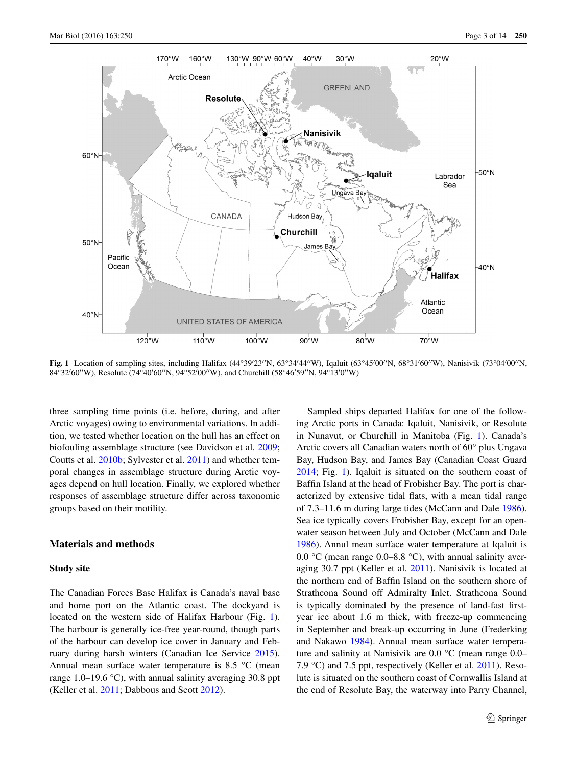

<span id="page-2-0"></span>**Fig. 1** Location of sampling sites, including Halifax (44°39′23′′N, 63°34′44′′W), Iqaluit (63°45′00′′N, 68°31′60′′W), Nanisivik (73°04′00′′N, 84°32′60′′W), Resolute (74°40′60′′N, 94°52′00′′W), and Churchill (58°46′59′′N, 94°13′0′′W)

three sampling time points (i.e. before, during, and after Arctic voyages) owing to environmental variations. In addition, we tested whether location on the hull has an effect on biofouling assemblage structure (see Davidson et al. [2009](#page-12-16); Coutts et al. [2010b;](#page-12-8) Sylvester et al. [2011](#page-13-1)) and whether temporal changes in assemblage structure during Arctic voyages depend on hull location. Finally, we explored whether responses of assemblage structure differ across taxonomic groups based on their motility.

## **Materials and methods**

### **Study site**

The Canadian Forces Base Halifax is Canada's naval base and home port on the Atlantic coast. The dockyard is located on the western side of Halifax Harbour (Fig. [1](#page-2-0)). The harbour is generally ice-free year-round, though parts of the harbour can develop ice cover in January and February during harsh winters (Canadian Ice Service [2015](#page-11-11)). Annual mean surface water temperature is 8.5 °C (mean range 1.0–19.6  $\degree$ C), with annual salinity averaging 30.8 ppt (Keller et al. [2011;](#page-12-17) Dabbous and Scott [2012\)](#page-12-18).

Sampled ships departed Halifax for one of the following Arctic ports in Canada: Iqaluit, Nanisivik, or Resolute in Nunavut, or Churchill in Manitoba (Fig. [1](#page-2-0)). Canada's Arctic covers all Canadian waters north of 60° plus Ungava Bay, Hudson Bay, and James Bay (Canadian Coast Guard [2014](#page-11-12); Fig. [1\)](#page-2-0). Iqaluit is situated on the southern coast of Baffin Island at the head of Frobisher Bay. The port is characterized by extensive tidal flats, with a mean tidal range of 7.3–11.6 m during large tides (McCann and Dale [1986](#page-12-19)). Sea ice typically covers Frobisher Bay, except for an openwater season between July and October (McCann and Dale [1986](#page-12-19)). Annul mean surface water temperature at Iqaluit is 0.0 °C (mean range 0.0–8.8 °C), with annual salinity averaging 30.7 ppt (Keller et al. [2011\)](#page-12-17). Nanisivik is located at the northern end of Baffin Island on the southern shore of Strathcona Sound off Admiralty Inlet. Strathcona Sound is typically dominated by the presence of land-fast firstyear ice about 1.6 m thick, with freeze-up commencing in September and break-up occurring in June (Frederking and Nakawo [1984\)](#page-12-20). Annual mean surface water temperature and salinity at Nanisivik are 0.0 °C (mean range 0.0– 7.9 °C) and 7.5 ppt, respectively (Keller et al. [2011](#page-12-17)). Resolute is situated on the southern coast of Cornwallis Island at the end of Resolute Bay, the waterway into Parry Channel,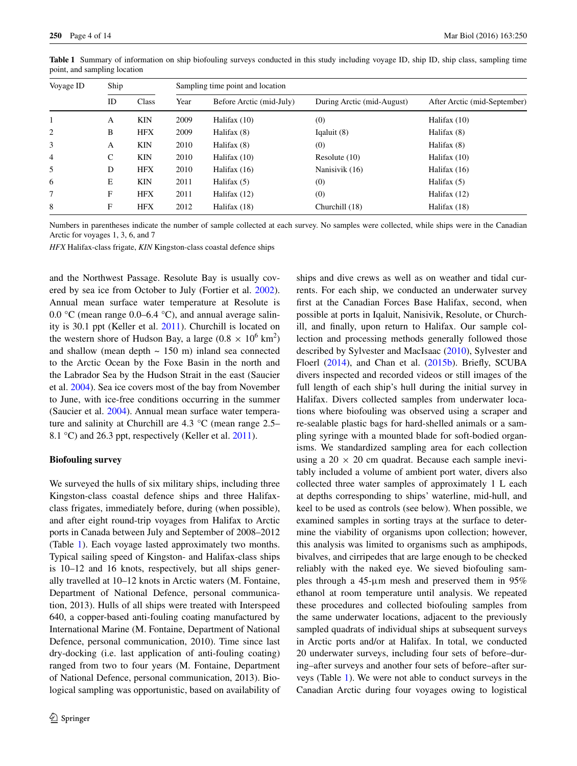| Voyage ID      | Ship |            | Sampling time point and location |                          |                            |                              |  |  |
|----------------|------|------------|----------------------------------|--------------------------|----------------------------|------------------------------|--|--|
|                | ID   | Class      | Year                             | Before Arctic (mid-July) | During Arctic (mid-August) | After Arctic (mid-September) |  |  |
|                | A    | <b>KIN</b> | 2009                             | Halifax (10)             | (0)                        | Halifax (10)                 |  |  |
| 2              | B    | <b>HFX</b> | 2009                             | Halifax (8)              | Iqaluit $(8)$              | Halifax (8)                  |  |  |
| 3              | A    | <b>KIN</b> | 2010                             | Halifax (8)              | (0)                        | Halifax (8)                  |  |  |
| $\overline{4}$ | C    | <b>KIN</b> | 2010                             | Halifax (10)             | Resolute $(10)$            | Halifax $(10)$               |  |  |
| 5              | D    | <b>HFX</b> | 2010                             | Halifax $(16)$           | Nanisivik (16)             | Halifax $(16)$               |  |  |
| 6              | Е    | <b>KIN</b> | 2011                             | Halifax $(5)$            | (0)                        | Halifax $(5)$                |  |  |
| 7              | F    | <b>HFX</b> | 2011                             | Halifax (12)             | (0)                        | Halifax $(12)$               |  |  |
| 8              | F    | <b>HFX</b> | 2012                             | Halifax (18)             | Churchill (18)             | Halifax (18)                 |  |  |

<span id="page-3-0"></span>**Table 1** Summary of information on ship biofouling surveys conducted in this study including voyage ID, ship ID, ship class, sampling time point, and sampling location

Numbers in parentheses indicate the number of sample collected at each survey. No samples were collected, while ships were in the Canadian Arctic for voyages 1, 3, 6, and 7

*HFX* Halifax-class frigate, *KIN* Kingston-class coastal defence ships

and the Northwest Passage. Resolute Bay is usually covered by sea ice from October to July (Fortier et al. [2002](#page-12-21)). Annual mean surface water temperature at Resolute is 0.0 °C (mean range 0.0–6.4 °C), and annual average salinity is 30.1 ppt (Keller et al. [2011\)](#page-12-17). Churchill is located on the western shore of Hudson Bay, a large  $(0.8 \times 10^6 \text{ km}^2)$ and shallow (mean depth  $\sim$  150 m) inland sea connected to the Arctic Ocean by the Foxe Basin in the north and the Labrador Sea by the Hudson Strait in the east (Saucier et al. [2004\)](#page-13-8). Sea ice covers most of the bay from November to June, with ice-free conditions occurring in the summer (Saucier et al. [2004\)](#page-13-8). Annual mean surface water temperature and salinity at Churchill are 4.3 °C (mean range 2.5– 8.1 °C) and 26.3 ppt, respectively (Keller et al. [2011](#page-12-17)).

#### **Biofouling survey**

We surveyed the hulls of six military ships, including three Kingston-class coastal defence ships and three Halifaxclass frigates, immediately before, during (when possible), and after eight round-trip voyages from Halifax to Arctic ports in Canada between July and September of 2008–2012 (Table [1\)](#page-3-0). Each voyage lasted approximately two months. Typical sailing speed of Kingston- and Halifax-class ships is 10–12 and 16 knots, respectively, but all ships generally travelled at 10–12 knots in Arctic waters (M. Fontaine, Department of National Defence, personal communication, 2013). Hulls of all ships were treated with Interspeed 640, a copper-based anti-fouling coating manufactured by International Marine (M. Fontaine, Department of National Defence, personal communication, 2010). Time since last dry-docking (i.e. last application of anti-fouling coating) ranged from two to four years (M. Fontaine, Department of National Defence, personal communication, 2013). Biological sampling was opportunistic, based on availability of ships and dive crews as well as on weather and tidal currents. For each ship, we conducted an underwater survey first at the Canadian Forces Base Halifax, second, when possible at ports in Iqaluit, Nanisivik, Resolute, or Churchill, and finally, upon return to Halifax. Our sample collection and processing methods generally followed those described by Sylvester and MacIsaac [\(2010](#page-13-9)), Sylvester and Floerl ([2014\)](#page-13-10), and Chan et al. ([2015b\)](#page-11-10). Briefly, SCUBA divers inspected and recorded videos or still images of the full length of each ship's hull during the initial survey in Halifax. Divers collected samples from underwater locations where biofouling was observed using a scraper and re-sealable plastic bags for hard-shelled animals or a sampling syringe with a mounted blade for soft-bodied organisms. We standardized sampling area for each collection using a  $20 \times 20$  cm quadrat. Because each sample inevitably included a volume of ambient port water, divers also collected three water samples of approximately 1 L each at depths corresponding to ships' waterline, mid-hull, and keel to be used as controls (see below). When possible, we examined samples in sorting trays at the surface to determine the viability of organisms upon collection; however, this analysis was limited to organisms such as amphipods, bivalves, and cirripedes that are large enough to be checked reliably with the naked eye. We sieved biofouling samples through a 45-μm mesh and preserved them in 95% ethanol at room temperature until analysis. We repeated these procedures and collected biofouling samples from the same underwater locations, adjacent to the previously sampled quadrats of individual ships at subsequent surveys in Arctic ports and/or at Halifax. In total, we conducted 20 underwater surveys, including four sets of before–during–after surveys and another four sets of before–after surveys (Table [1](#page-3-0)). We were not able to conduct surveys in the Canadian Arctic during four voyages owing to logistical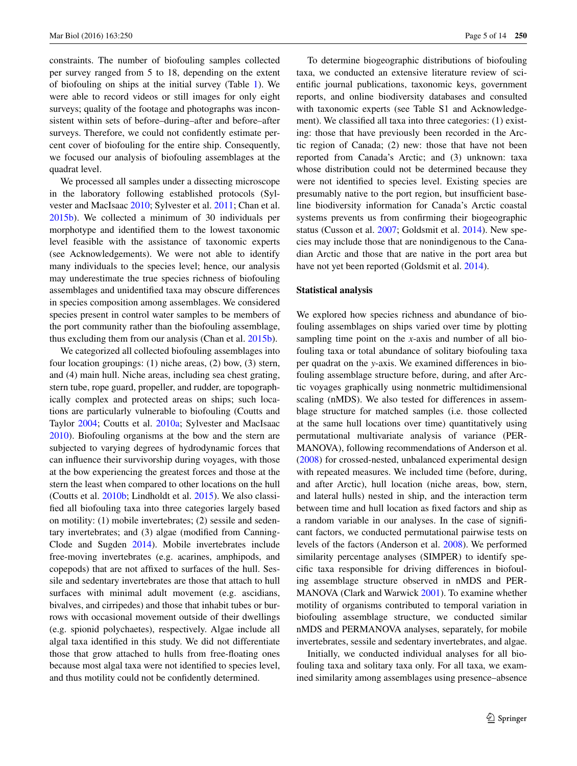constraints. The number of biofouling samples collected per survey ranged from 5 to 18, depending on the extent of biofouling on ships at the initial survey (Table [1\)](#page-3-0). We were able to record videos or still images for only eight surveys; quality of the footage and photographs was inconsistent within sets of before–during–after and before–after surveys. Therefore, we could not confidently estimate percent cover of biofouling for the entire ship. Consequently, we focused our analysis of biofouling assemblages at the quadrat level.

We processed all samples under a dissecting microscope in the laboratory following established protocols (Sylvester and MacIsaac [2010;](#page-13-9) Sylvester et al. [2011](#page-13-1); Chan et al. [2015b](#page-11-10)). We collected a minimum of 30 individuals per morphotype and identified them to the lowest taxonomic level feasible with the assistance of taxonomic experts (see Acknowledgements). We were not able to identify many individuals to the species level; hence, our analysis may underestimate the true species richness of biofouling assemblages and unidentified taxa may obscure differences in species composition among assemblages. We considered species present in control water samples to be members of the port community rather than the biofouling assemblage, thus excluding them from our analysis (Chan et al. [2015b\)](#page-11-10).

We categorized all collected biofouling assemblages into four location groupings: (1) niche areas, (2) bow, (3) stern, and (4) main hull. Niche areas, including sea chest grating, stern tube, rope guard, propeller, and rudder, are topographically complex and protected areas on ships; such locations are particularly vulnerable to biofouling (Coutts and Taylor [2004;](#page-12-22) Coutts et al. [2010a;](#page-12-4) Sylvester and MacIsaac [2010](#page-13-9)). Biofouling organisms at the bow and the stern are subjected to varying degrees of hydrodynamic forces that can influence their survivorship during voyages, with those at the bow experiencing the greatest forces and those at the stern the least when compared to other locations on the hull (Coutts et al. [2010b;](#page-12-8) Lindholdt et al. [2015\)](#page-12-23). We also classified all biofouling taxa into three categories largely based on motility: (1) mobile invertebrates; (2) sessile and sedentary invertebrates; and (3) algae (modified from Canning-Clode and Sugden [2014\)](#page-11-13). Mobile invertebrates include free-moving invertebrates (e.g. acarines, amphipods, and copepods) that are not affixed to surfaces of the hull. Sessile and sedentary invertebrates are those that attach to hull surfaces with minimal adult movement (e.g. ascidians, bivalves, and cirripedes) and those that inhabit tubes or burrows with occasional movement outside of their dwellings (e.g. spionid polychaetes), respectively. Algae include all algal taxa identified in this study. We did not differentiate those that grow attached to hulls from free-floating ones because most algal taxa were not identified to species level, and thus motility could not be confidently determined.

To determine biogeographic distributions of biofouling taxa, we conducted an extensive literature review of scientific journal publications, taxonomic keys, government reports, and online biodiversity databases and consulted with taxonomic experts (see Table S1 and Acknowledgement). We classified all taxa into three categories: (1) existing: those that have previously been recorded in the Arctic region of Canada; (2) new: those that have not been reported from Canada's Arctic; and (3) unknown: taxa whose distribution could not be determined because they were not identified to species level. Existing species are presumably native to the port region, but insufficient baseline biodiversity information for Canada's Arctic coastal systems prevents us from confirming their biogeographic status (Cusson et al. [2007;](#page-12-24) Goldsmit et al. [2014\)](#page-12-25). New species may include those that are nonindigenous to the Canadian Arctic and those that are native in the port area but have not yet been reported (Goldsmit et al. [2014](#page-12-25)).

#### **Statistical analysis**

We explored how species richness and abundance of biofouling assemblages on ships varied over time by plotting sampling time point on the *x*-axis and number of all biofouling taxa or total abundance of solitary biofouling taxa per quadrat on the *y*-axis. We examined differences in biofouling assemblage structure before, during, and after Arctic voyages graphically using nonmetric multidimensional scaling (nMDS). We also tested for differences in assemblage structure for matched samples (i.e. those collected at the same hull locations over time) quantitatively using permutational multivariate analysis of variance (PER-MANOVA), following recommendations of Anderson et al. [\(2008](#page-11-14)) for crossed-nested, unbalanced experimental design with repeated measures. We included time (before, during, and after Arctic), hull location (niche areas, bow, stern, and lateral hulls) nested in ship, and the interaction term between time and hull location as fixed factors and ship as a random variable in our analyses. In the case of significant factors, we conducted permutational pairwise tests on levels of the factors (Anderson et al. [2008\)](#page-11-14). We performed similarity percentage analyses (SIMPER) to identify specific taxa responsible for driving differences in biofouling assemblage structure observed in nMDS and PER-MANOVA (Clark and Warwick [2001\)](#page-11-15). To examine whether motility of organisms contributed to temporal variation in biofouling assemblage structure, we conducted similar nMDS and PERMANOVA analyses, separately, for mobile invertebrates, sessile and sedentary invertebrates, and algae.

Initially, we conducted individual analyses for all biofouling taxa and solitary taxa only. For all taxa, we examined similarity among assemblages using presence–absence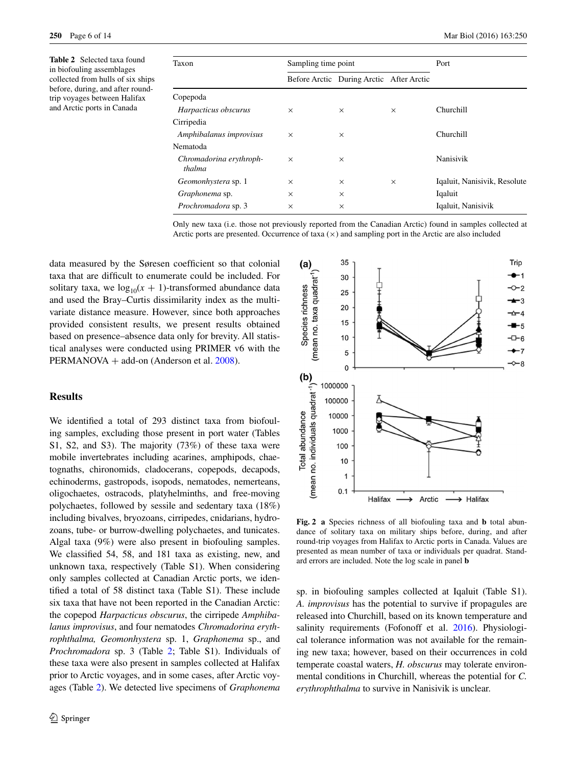<span id="page-5-0"></span>**Table 2** Selected taxa found in biofouling assemblages collected from hulls of six ships before, during, and after roundtrip voyages between Halifax and Arctic ports in Canada

| Taxon                             | Sampling time point |                                          | Port     |                              |  |
|-----------------------------------|---------------------|------------------------------------------|----------|------------------------------|--|
|                                   |                     | Before Arctic During Arctic After Arctic |          |                              |  |
| Copepoda                          |                     |                                          |          |                              |  |
| Harpacticus obscurus              | $\times$            | $\times$                                 | $\times$ | Churchill                    |  |
| Cirripedia                        |                     |                                          |          |                              |  |
| Amphibalanus improvisus           | $\times$            | $\times$                                 |          | Churchill                    |  |
| Nematoda                          |                     |                                          |          |                              |  |
| Chromadorina erythroph-<br>thalma | $\times$            | $\times$                                 |          | Nanisivik                    |  |
| Geomonhystera sp. 1               | $\times$            | $\times$                                 | $\times$ | Iqaluit, Nanisivik, Resolute |  |
| Graphonema sp.                    | $\times$            | $\times$                                 |          | Iqaluit                      |  |
| Prochromadora sp. 3               | $\times$            | $\times$                                 |          | Iqaluit, Nanisivik           |  |
|                                   |                     |                                          |          |                              |  |

Only new taxa (i.e. those not previously reported from the Canadian Arctic) found in samples collected at Arctic ports are presented. Occurrence of taxa  $(x)$  and sampling port in the Arctic are also included

data measured by the Søresen coefficient so that colonial taxa that are difficult to enumerate could be included. For solitary taxa, we  $log_{10}(x + 1)$ -transformed abundance data and used the Bray–Curtis dissimilarity index as the multivariate distance measure. However, since both approaches provided consistent results, we present results obtained based on presence–absence data only for brevity. All statistical analyses were conducted using PRIMER v6 with the PERMANOVA + add-on (Anderson et al. [2008](#page-11-14)).

### **Results**

We identified a total of 293 distinct taxa from biofouling samples, excluding those present in port water (Tables S1, S2, and S3). The majority (73%) of these taxa were mobile invertebrates including acarines, amphipods, chaetognaths, chironomids, cladocerans, copepods, decapods, echinoderms, gastropods, isopods, nematodes, nemerteans, oligochaetes, ostracods, platyhelminths, and free-moving polychaetes, followed by sessile and sedentary taxa (18%) including bivalves, bryozoans, cirripedes, cnidarians, hydrozoans, tube- or burrow-dwelling polychaetes, and tunicates. Algal taxa (9%) were also present in biofouling samples. We classified 54, 58, and 181 taxa as existing, new, and unknown taxa, respectively (Table S1). When considering only samples collected at Canadian Arctic ports, we identified a total of 58 distinct taxa (Table S1). These include six taxa that have not been reported in the Canadian Arctic: the copepod *Harpacticus obscurus*, the cirripede *Amphibalanus improvisus*, and four nematodes *Chromadorina erythrophthalma, Geomonhystera* sp. 1, *Graphonema* sp., and *Prochromadora* sp. 3 (Table [2;](#page-5-0) Table S1). Individuals of these taxa were also present in samples collected at Halifax prior to Arctic voyages, and in some cases, after Arctic voyages (Table [2](#page-5-0)). We detected live specimens of *Graphonema*



<span id="page-5-1"></span>**Fig. 2 a** Species richness of all biofouling taxa and **b** total abundance of solitary taxa on military ships before, during, and after round-trip voyages from Halifax to Arctic ports in Canada. Values are presented as mean number of taxa or individuals per quadrat. Standard errors are included. Note the log scale in panel **b**

sp. in biofouling samples collected at Iqaluit (Table S1). *A. improvisus* has the potential to survive if propagules are released into Churchill, based on its known temperature and salinity requirements (Fofonoff et al. [2016\)](#page-12-26). Physiological tolerance information was not available for the remaining new taxa; however, based on their occurrences in cold temperate coastal waters, *H. obscurus* may tolerate environmental conditions in Churchill, whereas the potential for *C. erythrophthalma* to survive in Nanisivik is unclear.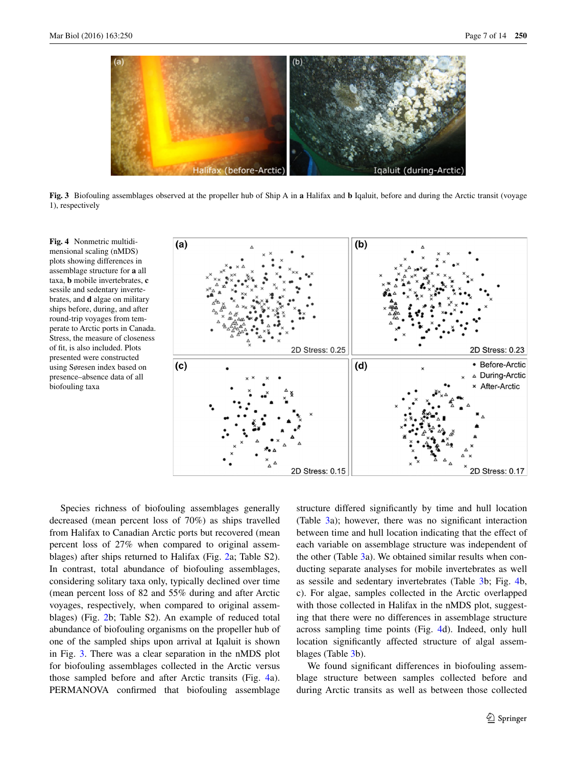

<span id="page-6-0"></span>**Fig. 3** Biofouling assemblages observed at the propeller hub of Ship A in **a** Halifax and **b** Iqaluit, before and during the Arctic transit (voyage 1), respectively

<span id="page-6-1"></span>**Fig. 4** Nonmetric multidimensional scaling (nMDS) plots showing differences in assemblage structure for **a** all taxa, **b** mobile invertebrates, **c** sessile and sedentary invertebrates, and **d** algae on military ships before, during, and after round-trip voyages from temperate to Arctic ports in Canada. Stress, the measure of closeness of fit, is also included. Plots presented were constructed using Søresen index based on presence–absence data of all biofouling taxa



Species richness of biofouling assemblages generally decreased (mean percent loss of 70%) as ships travelled from Halifax to Canadian Arctic ports but recovered (mean percent loss of 27% when compared to original assemblages) after ships returned to Halifax (Fig. [2](#page-5-1)a; Table S2). In contrast, total abundance of biofouling assemblages, considering solitary taxa only, typically declined over time (mean percent loss of 82 and 55% during and after Arctic voyages, respectively, when compared to original assemblages) (Fig. [2](#page-5-1)b; Table S2). An example of reduced total abundance of biofouling organisms on the propeller hub of one of the sampled ships upon arrival at Iqaluit is shown in Fig. [3](#page-6-0). There was a clear separation in the nMDS plot for biofouling assemblages collected in the Arctic versus those sampled before and after Arctic transits (Fig. [4a](#page-6-1)). PERMANOVA confirmed that biofouling assemblage structure differed significantly by time and hull location (Table [3a](#page-7-0)); however, there was no significant interaction between time and hull location indicating that the effect of each variable on assemblage structure was independent of the other (Table [3](#page-7-0)a). We obtained similar results when conducting separate analyses for mobile invertebrates as well as sessile and sedentary invertebrates (Table [3b](#page-7-0); Fig. [4b](#page-6-1), c). For algae, samples collected in the Arctic overlapped with those collected in Halifax in the nMDS plot, suggesting that there were no differences in assemblage structure across sampling time points (Fig. [4d](#page-6-1)). Indeed, only hull location significantly affected structure of algal assemblages (Table [3b](#page-7-0)).

We found significant differences in biofouling assemblage structure between samples collected before and during Arctic transits as well as between those collected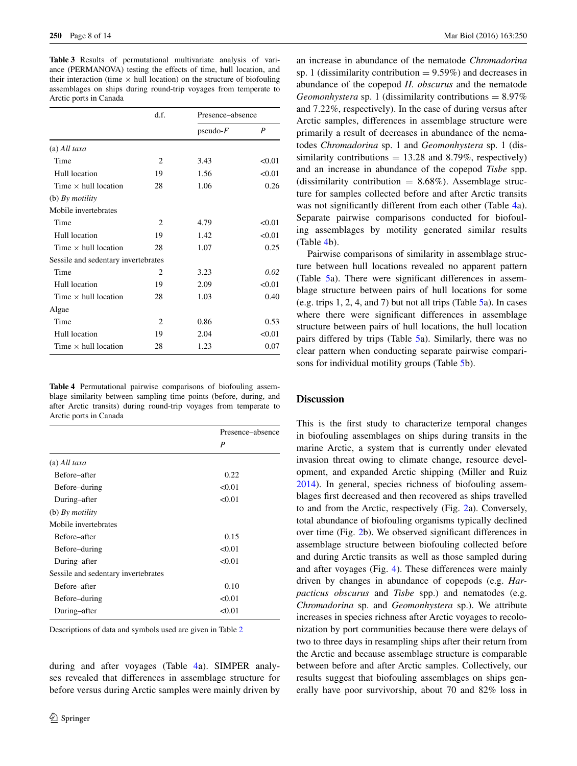<span id="page-7-0"></span>**Table 3** Results of permutational multivariate analysis of variance (PERMANOVA) testing the effects of time, hull location, and their interaction (time  $\times$  hull location) on the structure of biofouling assemblages on ships during round-trip voyages from temperate to Arctic ports in Canada

|                                     | d.f.           | Presence–absence |        |  |
|-------------------------------------|----------------|------------------|--------|--|
|                                     |                | $pseudo-F$       | P      |  |
| $(a)$ All taxa                      |                |                  |        |  |
| Time                                | 2              | 3.43             | < 0.01 |  |
| Hull location                       | 19             | 1.56             | < 0.01 |  |
| Time $\times$ hull location         | 28             | 1.06             | 0.26   |  |
| (b) By <i>motility</i>              |                |                  |        |  |
| Mobile invertebrates                |                |                  |        |  |
| Time                                | 2              | 4.79             | < 0.01 |  |
| Hull location                       | 19             | 1.42             | < 0.01 |  |
| Time $\times$ hull location         | 28             | 1.07             | 0.25   |  |
| Sessile and sedentary invertebrates |                |                  |        |  |
| Time                                | $\overline{c}$ | 3.23             | 0.02   |  |
| Hull location                       | 19             | 2.09             | < 0.01 |  |
| Time $\times$ hull location         | 28             | 1.03             | 0.40   |  |
| Algae                               |                |                  |        |  |
| Time                                | 2              | 0.86             | 0.53   |  |
| Hull location                       | 19             | 2.04             | < 0.01 |  |
| Time $\times$ hull location         | 28             | 1.23             | 0.07   |  |

<span id="page-7-1"></span>**Table 4** Permutational pairwise comparisons of biofouling assemblage similarity between sampling time points (before, during, and after Arctic transits) during round-trip voyages from temperate to Arctic ports in Canada

|                                     | Presence-absence |  |
|-------------------------------------|------------------|--|
|                                     | $\boldsymbol{P}$ |  |
| $(a)$ All taxa                      |                  |  |
| Before-after                        | 0.22             |  |
| Before–during                       | < 0.01           |  |
| During-after                        | < 0.01           |  |
| (b) $By$ motility                   |                  |  |
| Mobile invertebrates                |                  |  |
| Before–after                        | 0.15             |  |
| Before–during                       | < 0.01           |  |
| During-after                        | < 0.01           |  |
| Sessile and sedentary invertebrates |                  |  |
| Before-after                        | 0.10             |  |
| Before–during                       | < 0.01           |  |
| During-after                        | < 0.01           |  |
|                                     |                  |  |

Descriptions of data and symbols used are given in Table [2](#page-5-0)

during and after voyages (Table [4a](#page-7-1)). SIMPER analyses revealed that differences in assemblage structure for before versus during Arctic samples were mainly driven by

an increase in abundance of the nematode *Chromadorina* sp. 1 (dissimilarity contribution  $= 9.59\%$ ) and decreases in abundance of the copepod *H. obscurus* and the nematode *Geomonhystera* sp. 1 (dissimilarity contributions = 8.97% and 7.22%, respectively). In the case of during versus after Arctic samples, differences in assemblage structure were primarily a result of decreases in abundance of the nematodes *Chromadorina* sp. 1 and *Geomonhystera* sp. 1 (dissimilarity contributions  $= 13.28$  and 8.79%, respectively) and an increase in abundance of the copepod *Tisbe* spp. (dissimilarity contribution  $= 8.68\%$ ). Assemblage structure for samples collected before and after Arctic transits was not significantly different from each other (Table [4a](#page-7-1)). Separate pairwise comparisons conducted for biofouling assemblages by motility generated similar results (Table [4](#page-7-1)b).

Pairwise comparisons of similarity in assemblage structure between hull locations revealed no apparent pattern (Table [5](#page-8-0)a). There were significant differences in assemblage structure between pairs of hull locations for some (e.g. trips 1, 2, 4, and 7) but not all trips (Table  $\overline{5a}$  $\overline{5a}$  $\overline{5a}$ ). In cases where there were significant differences in assemblage structure between pairs of hull locations, the hull location pairs differed by trips (Table [5](#page-8-0)a). Similarly, there was no clear pattern when conducting separate pairwise comparisons for individual motility groups (Table [5](#page-8-0)b).

#### **Discussion**

This is the first study to characterize temporal changes in biofouling assemblages on ships during transits in the marine Arctic, a system that is currently under elevated invasion threat owing to climate change, resource development, and expanded Arctic shipping (Miller and Ruiz [2014](#page-12-12)). In general, species richness of biofouling assemblages first decreased and then recovered as ships travelled to and from the Arctic, respectively (Fig. [2a](#page-5-1)). Conversely, total abundance of biofouling organisms typically declined over time (Fig. [2](#page-5-1)b). We observed significant differences in assemblage structure between biofouling collected before and during Arctic transits as well as those sampled during and after voyages (Fig. [4](#page-6-1)). These differences were mainly driven by changes in abundance of copepods (e.g. *Harpacticus obscurus* and *Tisbe* spp.) and nematodes (e.g. *Chromadorina* sp. and *Geomonhystera* sp.). We attribute increases in species richness after Arctic voyages to recolonization by port communities because there were delays of two to three days in resampling ships after their return from the Arctic and because assemblage structure is comparable between before and after Arctic samples. Collectively, our results suggest that biofouling assemblages on ships generally have poor survivorship, about 70 and 82% loss in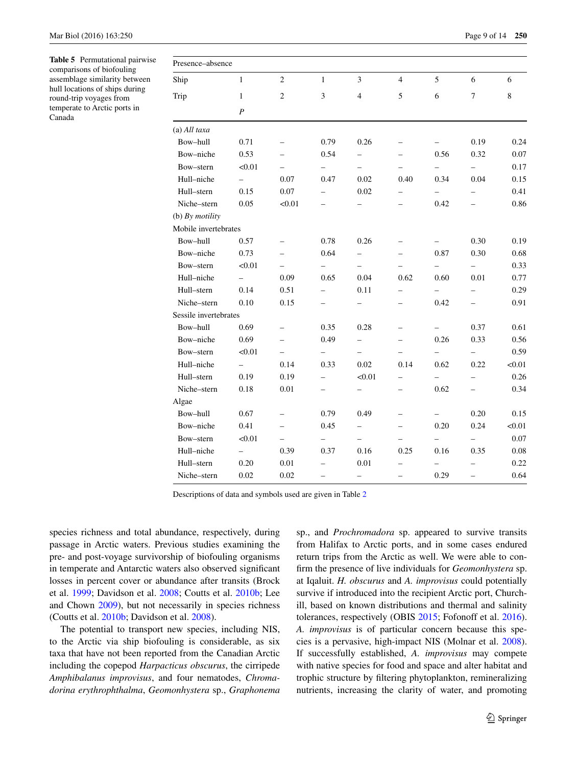<span id="page-8-0"></span>**Table 5** Permutational pairwise comparisons of biofouling assemblage similarity between hull locations of ships during round-trip voyages from temperate to Arctic ports in Canada

| Presence-absence      |                          |                          |                          |                          |                          |                          |                          |          |
|-----------------------|--------------------------|--------------------------|--------------------------|--------------------------|--------------------------|--------------------------|--------------------------|----------|
| Ship                  | $\mathbf{1}$             | $\sqrt{2}$               | $\mathbf{1}$             | $\mathfrak{Z}$           | $\overline{4}$           | 5                        | 6                        | 6        |
| Trip                  | $\mathbf{1}$             | $\overline{2}$           | 3                        | $\overline{4}$           | 5                        | 6                        | $\overline{7}$           | 8        |
|                       | $\boldsymbol{P}$         |                          |                          |                          |                          |                          |                          |          |
| (a) All taxa          |                          |                          |                          |                          |                          |                          |                          |          |
| Bow-hull              | 0.71                     |                          | 0.79                     | 0.26                     |                          | $\qquad \qquad -$        | 0.19                     | 0.24     |
| Bow-niche             | 0.53                     |                          | 0.54                     | $\overline{\phantom{0}}$ |                          | 0.56                     | 0.32                     | 0.07     |
| Bow-stern             | < 0.01                   | $\overline{\phantom{0}}$ | $\overline{\phantom{0}}$ | $\overline{\phantom{0}}$ | $\overline{\phantom{0}}$ | $\overline{\phantom{0}}$ | $\overline{\phantom{0}}$ | 0.17     |
| Hull-niche            | $\qquad \qquad -$        | 0.07                     | 0.47                     | 0.02                     | 0.40                     | 0.34                     | 0.04                     | 0.15     |
| Hull-stern            | 0.15                     | 0.07                     | -                        | 0.02                     |                          | -                        |                          | 0.41     |
| Niche-stern           | 0.05                     | < 0.01                   |                          |                          |                          | 0.42                     |                          | 0.86     |
| (b) $By$ motility     |                          |                          |                          |                          |                          |                          |                          |          |
| Mobile invertebrates  |                          |                          |                          |                          |                          |                          |                          |          |
| Bow-hull              | 0.57                     | $\overline{\phantom{0}}$ | 0.78                     | 0.26                     | $\overline{\phantom{0}}$ | $\overline{\phantom{0}}$ | 0.30                     | 0.19     |
| Bow-niche             | 0.73                     | $\overline{\phantom{0}}$ | 0.64                     | $\overline{\phantom{0}}$ | $\overline{\phantom{0}}$ | 0.87                     | 0.30                     | 0.68     |
| Bow-stern             | < 0.01                   |                          | -                        | $\overline{\phantom{0}}$ |                          | $\equiv$                 | $\overline{\phantom{0}}$ | 0.33     |
| Hull-niche            | $\overline{\phantom{0}}$ | 0.09                     | 0.65                     | 0.04                     | 0.62                     | 0.60                     | 0.01                     | 0.77     |
| Hull-stern            | 0.14                     | 0.51                     | $\overline{\phantom{0}}$ | 0.11                     | $\overline{\phantom{0}}$ | $\overline{\phantom{0}}$ |                          | 0.29     |
| Niche-stern           | 0.10                     | 0.15                     | $\overline{\phantom{0}}$ | $\overline{\phantom{0}}$ | $\overline{\phantom{0}}$ | 0.42                     | $\overline{\phantom{0}}$ | 0.91     |
| Sessile invertebrates |                          |                          |                          |                          |                          |                          |                          |          |
| Bow-hull              | 0.69                     | $\overline{\phantom{0}}$ | 0.35                     | 0.28                     | $\overline{\phantom{0}}$ | $\overline{\phantom{0}}$ | 0.37                     | 0.61     |
| Bow-niche             | 0.69                     | $\equiv$                 | 0.49                     | $\overline{\phantom{0}}$ | $\overline{\phantom{0}}$ | 0.26                     | 0.33                     | 0.56     |
| Bow-stern             | < 0.01                   | $\overline{\phantom{0}}$ | $\qquad \qquad -$        | $\overline{\phantom{0}}$ | $\qquad \qquad -$        | $\qquad \qquad -$        | -                        | 0.59     |
| Hull-niche            | $\overline{\phantom{0}}$ | 0.14                     | 0.33                     | 0.02                     | 0.14                     | 0.62                     | 0.22                     | < 0.01   |
| Hull-stern            | 0.19                     | 0.19                     | $\overline{\phantom{0}}$ | < 0.01                   | $\overline{\phantom{0}}$ | $\overline{\phantom{0}}$ | -                        | 0.26     |
| Niche-stern           | 0.18                     | 0.01                     | $\overline{\phantom{0}}$ | $\qquad \qquad -$        | $\overline{\phantom{0}}$ | 0.62                     | -                        | 0.34     |
| Algae                 |                          |                          |                          |                          |                          |                          |                          |          |
| Bow-hull              | 0.67                     |                          | 0.79                     | 0.49                     | $\overline{\phantom{0}}$ | $\overline{\phantom{0}}$ | 0.20                     | 0.15     |
| Bow-niche             | 0.41                     | $\overline{\phantom{0}}$ | 0.45                     | $\overline{\phantom{0}}$ | $\overline{\phantom{0}}$ | 0.20                     | 0.24                     | < 0.01   |
| Bow-stern             | < 0.01                   |                          | -                        | $\overline{\phantom{0}}$ | $\overline{\phantom{0}}$ | $\overline{\phantom{0}}$ |                          | 0.07     |
| Hull-niche            | $\overline{\phantom{0}}$ | 0.39                     | 0.37                     | 0.16                     | 0.25                     | 0.16                     | 0.35                     | $0.08\,$ |
| Hull-stern            | 0.20                     | 0.01                     | $\overline{\phantom{0}}$ | 0.01                     |                          | $\qquad \qquad -$        |                          | 0.22     |
| Niche-stern           | 0.02                     | 0.02                     | $\overline{\phantom{0}}$ | $\overline{\phantom{0}}$ | $\overline{\phantom{0}}$ | 0.29                     | $\overline{\phantom{0}}$ | 0.64     |

Descriptions of data and symbols used are given in Table [2](#page-5-0)

species richness and total abundance, respectively, during passage in Arctic waters. Previous studies examining the pre- and post-voyage survivorship of biofouling organisms in temperate and Antarctic waters also observed significant losses in percent cover or abundance after transits (Brock et al. [1999](#page-11-9); Davidson et al. [2008;](#page-12-7) Coutts et al. [2010b](#page-12-8); Lee and Chown [2009\)](#page-12-10), but not necessarily in species richness (Coutts et al. [2010b;](#page-12-8) Davidson et al. [2008\)](#page-12-7).

The potential to transport new species, including NIS, to the Arctic via ship biofouling is considerable, as six taxa that have not been reported from the Canadian Arctic including the copepod *Harpacticus obscurus*, the cirripede *Amphibalanus improvisus*, and four nematodes, *Chromadorina erythrophthalma*, *Geomonhystera* sp., *Graphonema* sp., and *Prochromadora* sp. appeared to survive transits from Halifax to Arctic ports, and in some cases endured return trips from the Arctic as well. We were able to confirm the presence of live individuals for *Geomonhystera* sp. at Iqaluit. *H. obscurus* and *A. improvisus* could potentially survive if introduced into the recipient Arctic port, Churchill, based on known distributions and thermal and salinity tolerances, respectively (OBIS [2015;](#page-13-11) Fofonoff et al. [2016](#page-12-26)). *A. improvisus* is of particular concern because this species is a pervasive, high-impact NIS (Molnar et al. [2008](#page-12-27)). If successfully established, *A. improvisus* may compete with native species for food and space and alter habitat and trophic structure by filtering phytoplankton, remineralizing nutrients, increasing the clarity of water, and promoting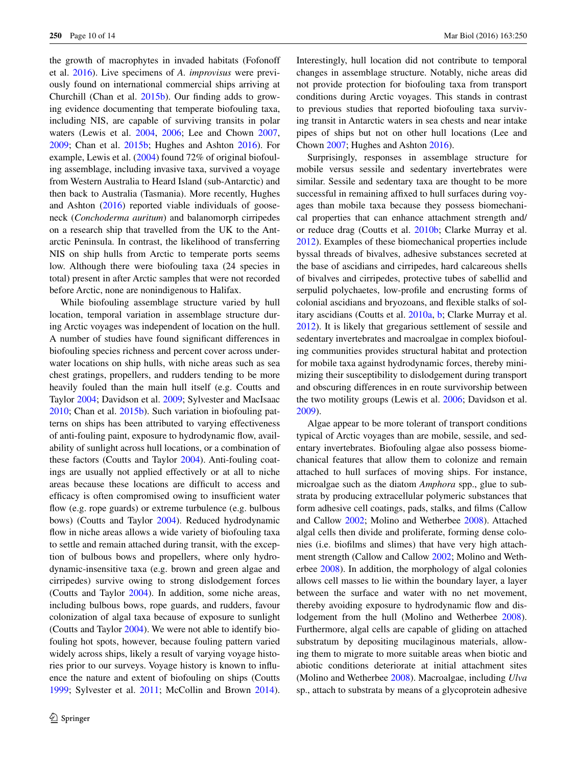the growth of macrophytes in invaded habitats (Fofonoff et al. [2016](#page-12-26)). Live specimens of *A. improvisus* were previously found on international commercial ships arriving at Churchill (Chan et al. [2015b\)](#page-11-10). Our finding adds to growing evidence documenting that temperate biofouling taxa, including NIS, are capable of surviving transits in polar waters (Lewis et al. [2004](#page-12-9), [2006](#page-12-28); Lee and Chown [2007,](#page-12-29) [2009](#page-12-10); Chan et al. [2015b](#page-11-10); Hughes and Ashton [2016](#page-12-11)). For example, Lewis et al. ([2004\)](#page-12-9) found 72% of original biofouling assemblage, including invasive taxa, survived a voyage from Western Australia to Heard Island (sub-Antarctic) and then back to Australia (Tasmania). More recently, Hughes and Ashton [\(2016](#page-12-11)) reported viable individuals of gooseneck (*Conchoderma auritum*) and balanomorph cirripedes on a research ship that travelled from the UK to the Antarctic Peninsula. In contrast, the likelihood of transferring NIS on ship hulls from Arctic to temperate ports seems low. Although there were biofouling taxa (24 species in total) present in after Arctic samples that were not recorded before Arctic, none are nonindigenous to Halifax.

While biofouling assemblage structure varied by hull location, temporal variation in assemblage structure during Arctic voyages was independent of location on the hull. A number of studies have found significant differences in biofouling species richness and percent cover across underwater locations on ship hulls, with niche areas such as sea chest gratings, propellers, and rudders tending to be more heavily fouled than the main hull itself (e.g. Coutts and Taylor [2004;](#page-12-22) Davidson et al. [2009](#page-12-16); Sylvester and MacIsaac [2010](#page-13-9); Chan et al. [2015b](#page-11-10)). Such variation in biofouling patterns on ships has been attributed to varying effectiveness of anti-fouling paint, exposure to hydrodynamic flow, availability of sunlight across hull locations, or a combination of these factors (Coutts and Taylor [2004\)](#page-12-22). Anti-fouling coatings are usually not applied effectively or at all to niche areas because these locations are difficult to access and efficacy is often compromised owing to insufficient water flow (e.g. rope guards) or extreme turbulence (e.g. bulbous bows) (Coutts and Taylor [2004\)](#page-12-22). Reduced hydrodynamic flow in niche areas allows a wide variety of biofouling taxa to settle and remain attached during transit, with the exception of bulbous bows and propellers, where only hydrodynamic-insensitive taxa (e.g. brown and green algae and cirripedes) survive owing to strong dislodgement forces (Coutts and Taylor [2004](#page-12-22)). In addition, some niche areas, including bulbous bows, rope guards, and rudders, favour colonization of algal taxa because of exposure to sunlight (Coutts and Taylor [2004](#page-12-22)). We were not able to identify biofouling hot spots, however, because fouling pattern varied widely across ships, likely a result of varying voyage histories prior to our surveys. Voyage history is known to influence the nature and extent of biofouling on ships (Coutts [1999](#page-12-30); Sylvester et al. [2011](#page-13-1); McCollin and Brown [2014](#page-12-31)). Interestingly, hull location did not contribute to temporal changes in assemblage structure. Notably, niche areas did not provide protection for biofouling taxa from transport conditions during Arctic voyages. This stands in contrast to previous studies that reported biofouling taxa surviving transit in Antarctic waters in sea chests and near intake pipes of ships but not on other hull locations (Lee and Chown [2007](#page-12-29); Hughes and Ashton [2016](#page-12-11)).

Surprisingly, responses in assemblage structure for mobile versus sessile and sedentary invertebrates were similar. Sessile and sedentary taxa are thought to be more successful in remaining affixed to hull surfaces during voyages than mobile taxa because they possess biomechanical properties that can enhance attachment strength and/ or reduce drag (Coutts et al. [2010b;](#page-12-8) Clarke Murray et al. [2012](#page-11-5)). Examples of these biomechanical properties include byssal threads of bivalves, adhesive substances secreted at the base of ascidians and cirripedes, hard calcareous shells of bivalves and cirripedes, protective tubes of sabellid and serpulid polychaetes, low-profile and encrusting forms of colonial ascidians and bryozoans, and flexible stalks of solitary ascidians (Coutts et al. [2010a](#page-12-4), [b;](#page-12-8) Clarke Murray et al. [2012](#page-11-5)). It is likely that gregarious settlement of sessile and sedentary invertebrates and macroalgae in complex biofouling communities provides structural habitat and protection for mobile taxa against hydrodynamic forces, thereby minimizing their susceptibility to dislodgement during transport and obscuring differences in en route survivorship between the two motility groups (Lewis et al. [2006](#page-12-28); Davidson et al. [2009](#page-12-16)).

Algae appear to be more tolerant of transport conditions typical of Arctic voyages than are mobile, sessile, and sedentary invertebrates. Biofouling algae also possess biomechanical features that allow them to colonize and remain attached to hull surfaces of moving ships. For instance, microalgae such as the diatom *Amphora* spp., glue to substrata by producing extracellular polymeric substances that form adhesive cell coatings, pads, stalks, and films (Callow and Callow [2002](#page-11-16); Molino and Wetherbee [2008](#page-12-32)). Attached algal cells then divide and proliferate, forming dense colonies (i.e. biofilms and slimes) that have very high attachment strength (Callow and Callow [2002](#page-11-16); Molino and Wetherbee [2008\)](#page-12-32). In addition, the morphology of algal colonies allows cell masses to lie within the boundary layer, a layer between the surface and water with no net movement, thereby avoiding exposure to hydrodynamic flow and dislodgement from the hull (Molino and Wetherbee [2008](#page-12-32)). Furthermore, algal cells are capable of gliding on attached substratum by depositing mucilaginous materials, allowing them to migrate to more suitable areas when biotic and abiotic conditions deteriorate at initial attachment sites (Molino and Wetherbee [2008\)](#page-12-32). Macroalgae, including *Ulva* sp., attach to substrata by means of a glycoprotein adhesive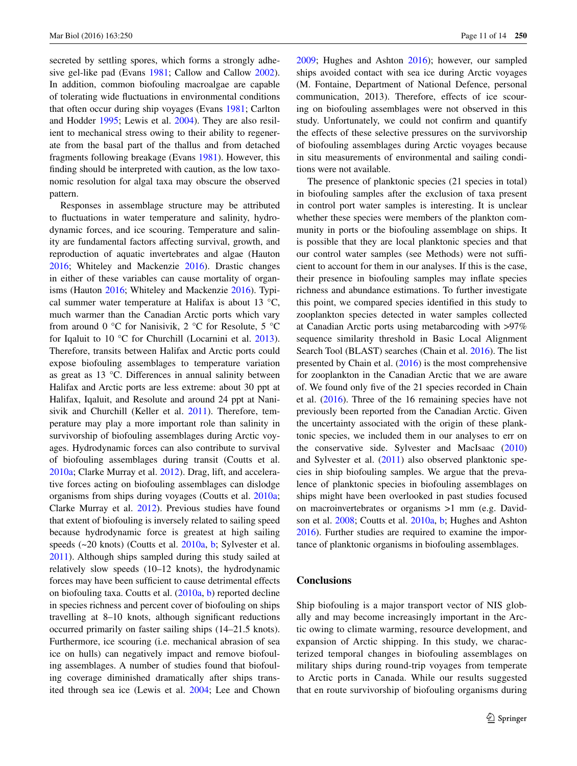secreted by settling spores, which forms a strongly adhesive gel-like pad (Evans [1981;](#page-12-33) Callow and Callow [2002](#page-11-16)). In addition, common biofouling macroalgae are capable of tolerating wide fluctuations in environmental conditions that often occur during ship voyages (Evans [1981](#page-12-33); Carlton and Hodder [1995](#page-11-8); Lewis et al. [2004](#page-12-9)). They are also resilient to mechanical stress owing to their ability to regenerate from the basal part of the thallus and from detached fragments following breakage (Evans [1981\)](#page-12-33). However, this finding should be interpreted with caution, as the low taxonomic resolution for algal taxa may obscure the observed pattern.

Responses in assemblage structure may be attributed to fluctuations in water temperature and salinity, hydrodynamic forces, and ice scouring. Temperature and salinity are fundamental factors affecting survival, growth, and reproduction of aquatic invertebrates and algae (Hauton [2016](#page-12-34); Whiteley and Mackenzie [2016\)](#page-13-12). Drastic changes in either of these variables can cause mortality of organisms (Hauton [2016;](#page-12-34) Whiteley and Mackenzie [2016\)](#page-13-12). Typical summer water temperature at Halifax is about 13 °C, much warmer than the Canadian Arctic ports which vary from around 0  $\degree$ C for Nanisivik, 2  $\degree$ C for Resolute, 5  $\degree$ C for Iqaluit to 10 °C for Churchill (Locarnini et al. [2013](#page-12-35)). Therefore, transits between Halifax and Arctic ports could expose biofouling assemblages to temperature variation as great as 13 °C. Differences in annual salinity between Halifax and Arctic ports are less extreme: about 30 ppt at Halifax, Iqaluit, and Resolute and around 24 ppt at Nanisivik and Churchill (Keller et al. [2011](#page-12-17)). Therefore, temperature may play a more important role than salinity in survivorship of biofouling assemblages during Arctic voyages. Hydrodynamic forces can also contribute to survival of biofouling assemblages during transit (Coutts et al. [2010a](#page-12-4); Clarke Murray et al. [2012](#page-11-5)). Drag, lift, and accelerative forces acting on biofouling assemblages can dislodge organisms from ships during voyages (Coutts et al. [2010a](#page-12-4); Clarke Murray et al. [2012\)](#page-11-5). Previous studies have found that extent of biofouling is inversely related to sailing speed because hydrodynamic force is greatest at high sailing speeds (~20 knots) (Coutts et al. [2010a,](#page-12-4) [b;](#page-12-8) Sylvester et al. [2011](#page-13-1)). Although ships sampled during this study sailed at relatively slow speeds (10–12 knots), the hydrodynamic forces may have been sufficient to cause detrimental effects on biofouling taxa. Coutts et al. ([2010a](#page-12-4), [b](#page-12-8)) reported decline in species richness and percent cover of biofouling on ships travelling at 8–10 knots, although significant reductions occurred primarily on faster sailing ships (14–21.5 knots). Furthermore, ice scouring (i.e. mechanical abrasion of sea ice on hulls) can negatively impact and remove biofouling assemblages. A number of studies found that biofouling coverage diminished dramatically after ships transited through sea ice (Lewis et al. [2004;](#page-12-9) Lee and Chown [2009](#page-12-10); Hughes and Ashton [2016](#page-12-11)); however, our sampled ships avoided contact with sea ice during Arctic voyages (M. Fontaine, Department of National Defence, personal communication, 2013). Therefore, effects of ice scouring on biofouling assemblages were not observed in this study. Unfortunately, we could not confirm and quantify the effects of these selective pressures on the survivorship of biofouling assemblages during Arctic voyages because in situ measurements of environmental and sailing conditions were not available.

The presence of planktonic species (21 species in total) in biofouling samples after the exclusion of taxa present in control port water samples is interesting. It is unclear whether these species were members of the plankton community in ports or the biofouling assemblage on ships. It is possible that they are local planktonic species and that our control water samples (see Methods) were not sufficient to account for them in our analyses. If this is the case, their presence in biofouling samples may inflate species richness and abundance estimations. To further investigate this point, we compared species identified in this study to zooplankton species detected in water samples collected at Canadian Arctic ports using metabarcoding with >97% sequence similarity threshold in Basic Local Alignment Search Tool (BLAST) searches (Chain et al. [2016\)](#page-11-17). The list presented by Chain et al. ([2016\)](#page-11-17) is the most comprehensive for zooplankton in the Canadian Arctic that we are aware of. We found only five of the 21 species recorded in Chain et al. ([2016\)](#page-11-17). Three of the 16 remaining species have not previously been reported from the Canadian Arctic. Given the uncertainty associated with the origin of these planktonic species, we included them in our analyses to err on the conservative side. Sylvester and MacIsaac ([2010\)](#page-13-9) and Sylvester et al. ([2011\)](#page-13-1) also observed planktonic species in ship biofouling samples. We argue that the prevalence of planktonic species in biofouling assemblages on ships might have been overlooked in past studies focused on macroinvertebrates or organisms >1 mm (e.g. Davidson et al. [2008](#page-12-7); Coutts et al. [2010a](#page-12-4), [b](#page-12-8); Hughes and Ashton [2016](#page-12-11)). Further studies are required to examine the importance of planktonic organisms in biofouling assemblages.

### **Conclusions**

Ship biofouling is a major transport vector of NIS globally and may become increasingly important in the Arctic owing to climate warming, resource development, and expansion of Arctic shipping. In this study, we characterized temporal changes in biofouling assemblages on military ships during round-trip voyages from temperate to Arctic ports in Canada. While our results suggested that en route survivorship of biofouling organisms during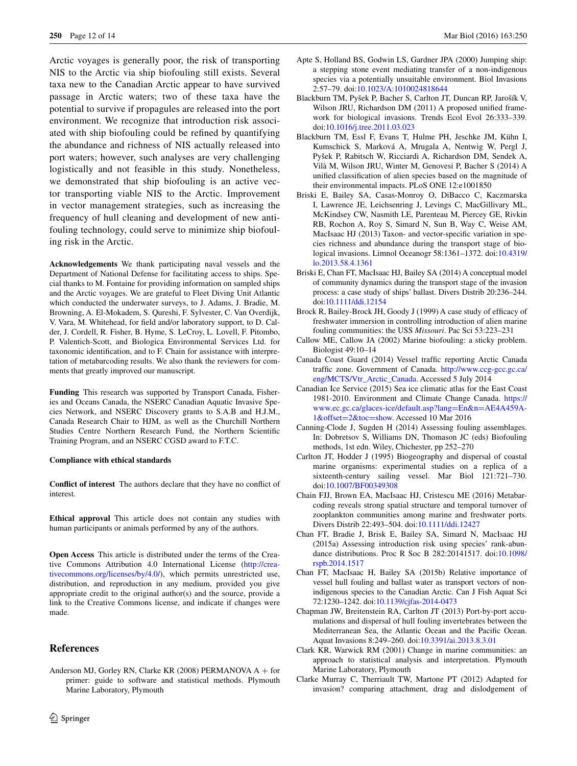Arctic voyages is generally poor, the risk of transporting NIS to the Arctic via ship biofouling still exists. Several taxa new to the Canadian Arctic appear to have survived passage in Arctic waters; two of these taxa have the potential to survive if propagules are released into the port environment. We recognize that introduction risk associated with ship biofouling could be refined by quantifying the abundance and richness of NIS actually released into port waters; however, such analyses are very challenging logistically and not feasible in this study. Nonetheless, we demonstrated that ship biofouling is an active vector transporting viable NIS to the Arctic. Improvement in vector management strategies, such as increasing the frequency of hull cleaning and development of new antifouling technology, could serve to minimize ship biofouling risk in the Arctic.

**Acknowledgements** We thank participating naval vessels and the Department of National Defense for facilitating access to ships. Special thanks to M. Fontaine for providing information on sampled ships and the Arctic voyages. We are grateful to Fleet Diving Unit Atlantic which conducted the underwater surveys, to J. Adams, J. Bradie, M. Browning, A. El-Mokadem, S. Qureshi, F. Sylvester, C. Van Overdijk, V. Vara, M. Whitehead, for field and/or laboratory support, to D. Calder, J. Cordell, R. Fisher, B. Hyme, S. LeCroy, L. Lovell, F. Pitombo, P. Valentich-Scott, and Biologica Environmental Services Ltd. for taxonomic identification, and to F. Chain for assistance with interpretation of metabarcoding results. We also thank the reviewers for comments that greatly improved our manuscript.

**Funding** This research was supported by Transport Canada, Fisheries and Oceans Canada, the NSERC Canadian Aquatic Invasive Species Network, and NSERC Discovery grants to S.A.B and H.J.M., Canada Research Chair to HJM, as well as the Churchill Northern Studies Centre Northern Research Fund, the Northern Scientific Training Program, and an NSERC CGSD award to F.T.C.

#### **Compliance with ethical standards**

**Conflict of interest** The authors declare that they have no conflict of interest.

**Ethical approval** This article does not contain any studies with human participants or animals performed by any of the authors.

**Open Access** This article is distributed under the terms of the Creative Commons Attribution 4.0 International License ([http://crea](http://creativecommons.org/licenses/by/4.0/)[tivecommons.org/licenses/by/4.0/](http://creativecommons.org/licenses/by/4.0/)), which permits unrestricted use, distribution, and reproduction in any medium, provided you give appropriate credit to the original author(s) and the source, provide a link to the Creative Commons license, and indicate if changes were made.

# **References**

<span id="page-11-14"></span>Anderson MJ, Gorley RN, Clarke KR (2008) PERMANOVA A + for primer: guide to software and statistical methods. Plymouth Marine Laboratory, Plymouth

- <span id="page-11-6"></span>Apte S, Holland BS, Godwin LS, Gardner JPA (2000) Jumping ship: a stepping stone event mediating transfer of a non-indigenous species via a potentially unsuitable environment. Biol Invasions 2:57–79. doi[:10.1023/A:1010024818644](http://dx.doi.org/10.1023/A:1010024818644)
- <span id="page-11-1"></span>Blackburn TM, Pyšek P, Bacher S, Carlton JT, Duncan RP, Jarošík V, Wilson JRU, Richardson DM (2011) A proposed unified framework for biological invasions. Trends Ecol Evol 26:333–339. doi[:10.1016/j.tree.2011.03.023](http://dx.doi.org/10.1016/j.tree.2011.03.023)
- <span id="page-11-0"></span>Blackburn TM, Essl F, Evans T, Hulme PH, Jeschke JM, Kühn I, Kumschick S, Marková A, Mrugala A, Nentwig W, Pergl J, Pyšek P, Rabitsch W, Ricciardi A, Richardson DM, Sendek A, Vilà M, Wilson JRU, Winter M, Genovesi P, Bacher S (2014) A unified classification of alien species based on the magnitude of their environmental impacts. PLoS ONE 12:e1001850
- <span id="page-11-2"></span>Briski E, Bailey SA, Casas-Monroy O, DiBacco C, Kaczmarska I, Lawrence JE, Leichsenring J, Levings C, MacGillivary ML, McKindsey CW, Nasmith LE, Parenteau M, Piercey GE, Rivkin RB, Rochon A, Roy S, Simard N, Sun B, Way C, Weise AM, MacIsaac HJ (2013) Taxon- and vector-specific variation in species richness and abundance during the transport stage of biological invasions. Limnol Oceanogr 58:1361–1372. doi[:10.4319/](http://dx.doi.org/10.4319/lo.2013.58.4.1361) [lo.2013.58.4.1361](http://dx.doi.org/10.4319/lo.2013.58.4.1361)
- <span id="page-11-3"></span>Briski E, Chan FT, MacIsaac HJ, Bailey SA (2014) A conceptual model of community dynamics during the transport stage of the invasion process: a case study of ships' ballast. Divers Distrib 20:236–244. doi[:10.1111/ddi.12154](http://dx.doi.org/10.1111/ddi.12154)
- <span id="page-11-9"></span>Brock R, Bailey-Brock JH, Goody J (1999) A case study of efficacy of freshwater immersion in controlling introduction of alien marine fouling communities: the USS *Missouri*. Pac Sci 53:223–231
- <span id="page-11-16"></span>Callow ME, Callow JA (2002) Marine biofouling: a sticky problem. Biologist 49:10–14
- <span id="page-11-12"></span>Canada Coast Guard (2014) Vessel traffic reporting Arctic Canada traffic zone. Government of Canada. [http://www.ccg-gcc.gc.ca/](http://www.ccg-gcc.gc.ca/eng/MCTS/Vtr_Arctic_Canada) [eng/MCTS/Vtr\\_Arctic\\_Canada.](http://www.ccg-gcc.gc.ca/eng/MCTS/Vtr_Arctic_Canada) Accessed 5 July 2014
- <span id="page-11-11"></span>Canadian Ice Service (2015) Sea ice climatic atlas for the East Coast 1981-2010. Environment and Climate Change Canada. [https://](https://www.ec.gc.ca/glaces-ice/default.asp%3flang%3dEn%26n%3dAE4A459A-1%26offset%3d2%26toc%3dshow) [www.ec.gc.ca/glaces-ice/default.asp?lang](https://www.ec.gc.ca/glaces-ice/default.asp%3flang%3dEn%26n%3dAE4A459A-1%26offset%3d2%26toc%3dshow)=En&n=AE4A459A-1&offset=2&toc=show. Accessed 10 Mar 2016
- <span id="page-11-13"></span>Can[ning-Clode J, Sugden H](https://www.ec.gc.ca/glaces-ice/default.asp%3flang%3dEn%26n%3dAE4A459A-1%26offset%3d2%26toc%3dshow) (2014) Assessing fouling assemblages. In: Dobretsov S, Williams DN, Thomason JC (eds) Biofouling methods, 1st edn. Wiley, Chichester, pp 252–270
- <span id="page-11-8"></span>Carlton JT, Hodder J (1995) Biogeography and dispersal of coastal marine organisms: experimental studies on a replica of a sixteenth-century sailing vessel. Mar Biol 121:721–730. doi[:10.1007/BF00349308](http://dx.doi.org/10.1007/BF00349308)
- <span id="page-11-17"></span>Chain FJJ, Brown EA, MacIsaac HJ, Cristescu ME (2016) Metabarcoding reveals strong spatial structure and temporal turnover of zooplankton communities among marine and freshwater ports. Divers Distrib 22:493–504. doi[:10.1111/ddi.12427](http://dx.doi.org/10.1111/ddi.12427)
- <span id="page-11-4"></span>Chan FT, Bradie J, Brisk E, Bailey SA, Simard N, MacIsaac HJ (2015a) Assessing introduction risk using species' rank-abundance distributions. Proc R Soc B 282:20141517. doi[:10.1098/](http://dx.doi.org/10.1098/rspb.2014.1517) [rspb.2014.1517](http://dx.doi.org/10.1098/rspb.2014.1517)
- <span id="page-11-10"></span>Chan FT, MacIsaac H, Bailey SA (2015b) Relative importance of vessel hull fouling and ballast water as transport vectors of nonindigenous species to the Canadian Arctic. Can J Fish Aquat Sci 72:1230–1242. doi[:10.1139/cjfas-2014-0473](http://dx.doi.org/10.1139/cjfas-2014-0473)
- <span id="page-11-7"></span>Chapman JW, Breitenstein RA, Carlton JT (2013) Port-by-port accumulations and dispersal of hull fouling invertebrates between the Mediterranean Sea, the Atlantic Ocean and the Pacific Ocean. Aquat Invasions 8:249–260. doi[:10.3391/ai.2013.8.3.01](http://dx.doi.org/10.3391/ai.2013.8.3.01)
- <span id="page-11-15"></span>Clark KR, Warwick RM (2001) Change in marine communities: an approach to statistical analysis and interpretation. Plymouth Marine Laboratory, Plymouth
- <span id="page-11-5"></span>Clarke Murray C, Therriault TW, Martone PT (2012) Adapted for invasion? comparing attachment, drag and dislodgement of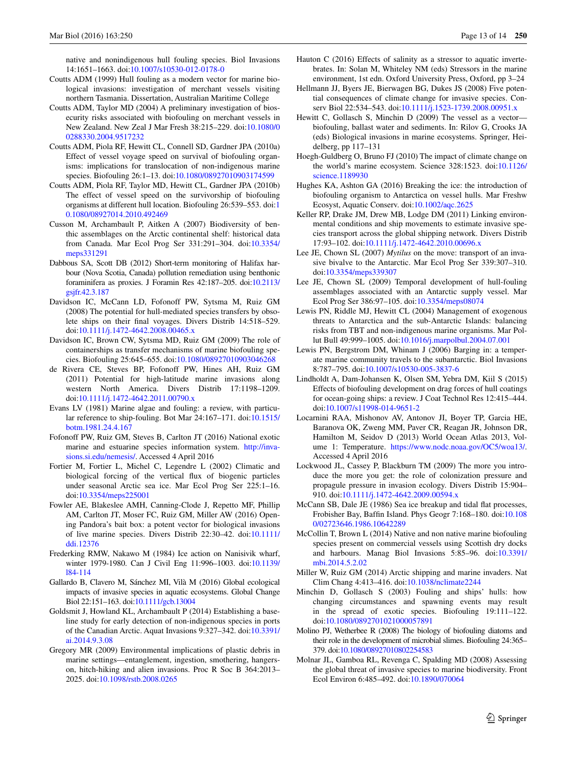native and nonindigenous hull fouling species. Biol Invasions 14:1651–1663. doi:[10.1007/s10530-012-0178-0](http://dx.doi.org/10.1007/s10530-012-0178-0)

- <span id="page-12-30"></span>Coutts ADM (1999) Hull fouling as a modern vector for marine biological invasions: investigation of merchant vessels visiting northern Tasmania. Dissertation, Australian Maritime College
- <span id="page-12-22"></span>Coutts ADM, Taylor MD (2004) A preliminary investigation of biosecurity risks associated with biofouling on merchant vessels in New Zealand. New Zeal J Mar Fresh 38:215–229. doi:[10.1080/0](http://dx.doi.org/10.1080/00288330.2004.9517232) [0288330.2004.9517232](http://dx.doi.org/10.1080/00288330.2004.9517232)
- <span id="page-12-4"></span>Coutts ADM, Piola RF, Hewitt CL, Connell SD, Gardner JPA (2010a) Effect of vessel voyage speed on survival of biofouling organisms: implications for translocation of non-indigenous marine species. Biofouling 26:1–13. doi[:10.1080/08927010903174599](http://dx.doi.org/10.1080/08927010903174599)
- <span id="page-12-8"></span>Coutts ADM, Piola RF, Taylor MD, Hewitt CL, Gardner JPA (2010b) The effect of vessel speed on the survivorship of biofouling organisms at different hull location. Biofouling 26:539–553. doi:[1](http://dx.doi.org/10.1080/08927014.2010.492469) [0.1080/08927014.2010.492469](http://dx.doi.org/10.1080/08927014.2010.492469)
- <span id="page-12-24"></span>Cusson M, Archambault P, Aitken A (2007) Biodiversity of benthic assemblages on the Arctic continental shelf: historical data from Canada. Mar Ecol Prog Ser 331:291–304. doi[:10.3354/](http://dx.doi.org/10.3354/meps331291) [meps331291](http://dx.doi.org/10.3354/meps331291)
- <span id="page-12-18"></span>Dabbous SA, Scott DB (2012) Short-term monitoring of Halifax harbour (Nova Scotia, Canada) pollution remediation using benthonic foraminifera as proxies. J Foramin Res 42:187–205. doi[:10.2113/](http://dx.doi.org/10.2113/gsjfr.42.3.187) [gsjfr.42.3.187](http://dx.doi.org/10.2113/gsjfr.42.3.187)
- <span id="page-12-7"></span>Davidson IC, McCann LD, Fofonoff PW, Sytsma M, Ruiz GM (2008) The potential for hull-mediated species transfers by obsolete ships on their final voyages. Divers Distrib 14:518–529. doi[:10.1111/j.1472-4642.2008.00465.x](http://dx.doi.org/10.1111/j.1472-4642.2008.00465.x)
- <span id="page-12-16"></span>Davidson IC, Brown CW, Sytsma MD, Ruiz GM (2009) The role of containerships as transfer mechanisms of marine biofouling species. Biofouling 25:645–655. doi:[10.1080/08927010903046268](http://dx.doi.org/10.1080/08927010903046268)
- <span id="page-12-15"></span>de Rivera CE, Steves BP, Fofonoff PW, Hines AH, Ruiz GM (2011) Potential for high‐latitude marine invasions along western North America. Divers Distrib 17:1198–1209. doi[:10.1111/j.1472-4642.2011.00790.x](http://dx.doi.org/10.1111/j.1472-4642.2011.00790.x)
- <span id="page-12-33"></span>Evans LV (1981) Marine algae and fouling: a review, with particular reference to ship-fouling. Bot Mar 24:167–171. doi[:10.1515/](http://dx.doi.org/10.1515/botm.1981.24.4.167) [botm.1981.24.4.167](http://dx.doi.org/10.1515/botm.1981.24.4.167)
- <span id="page-12-26"></span>Fofonoff PW, Ruiz GM, Steves B, Carlton JT (2016) National exotic marine and estuarine species information system. [http://inva](http://invasions.si.edu/nemesis/)[sions.si.edu/nemesis/.](http://invasions.si.edu/nemesis/) Accessed 4 April 2016
- <span id="page-12-21"></span>Fortier M, Fortier L, Michel C, Legendre L (2002) Climatic and biological forcing of the vertical flux of biogenic particles under seasonal Arctic sea ice. Mar Ecol Prog Ser 225:1–16. doi[:10.3354/meps225001](http://dx.doi.org/10.3354/meps225001)
- <span id="page-12-2"></span>Fowler AE, Blakeslee AMH, Canning-Clode J, Repetto MF, Phillip AM, Carlton JT, Moser FC, Ruiz GM, Miller AW (2016) Opening Pandora's bait box: a potent vector for biological invasions of live marine species. Divers Distrib 22:30–42. doi[:10.1111/](http://dx.doi.org/10.1111/ddi.12376) [ddi.12376](http://dx.doi.org/10.1111/ddi.12376)
- <span id="page-12-20"></span>Frederking RMW, Nakawo M (1984) Ice action on Nanisivik wharf, winter 1979-1980. Can J Civil Eng 11:996–1003. doi:[10.1139/](http://dx.doi.org/10.1139/l84-114) [l84-114](http://dx.doi.org/10.1139/l84-114)
- <span id="page-12-0"></span>Gallardo B, Clavero M, Sánchez MI, Vilà M (2016) Global ecological impacts of invasive species in aquatic ecosystems. Global Change Biol 22:151–163. doi[:10.1111/gcb.13004](http://dx.doi.org/10.1111/gcb.13004)
- <span id="page-12-25"></span>Goldsmit J, Howland KL, Archambault P (2014) Establishing a baseline study for early detection of non-indigenous species in ports of the Canadian Arctic. Aquat Invasions 9:327–342. doi[:10.3391/](http://dx.doi.org/10.3391/ai.2014.9.3.08) [ai.2014.9.3.08](http://dx.doi.org/10.3391/ai.2014.9.3.08)
- <span id="page-12-1"></span>Gregory MR (2009) Environmental implications of plastic debris in marine settings—entanglement, ingestion, smothering, hangerson, hitch-hiking and alien invasions. Proc R Soc B 364:2013– 2025. doi:[10.1098/rstb.2008.0265](http://dx.doi.org/10.1098/rstb.2008.0265)
- <span id="page-12-34"></span>Hauton C (2016) Effects of salinity as a stressor to aquatic invertebrates. In: Solan M, Whiteley NM (eds) Stressors in the marine environment, 1st edn. Oxford University Press, Oxford, pp 3–24
- <span id="page-12-14"></span>Hellmann JJ, Byers JE, Bierwagen BG, Dukes JS (2008) Five potential consequences of climate change for invasive species. Conserv Biol 22:534–543. doi[:10.1111/j.1523-1739.2008.00951.x](http://dx.doi.org/10.1111/j.1523-1739.2008.00951.x)
- <span id="page-12-5"></span>Hewitt C, Gollasch S, Minchin D (2009) The vessel as a vector biofouling, ballast water and sediments. In: Rilov G, Crooks JA (eds) Biological invasions in marine ecosystems. Springer, Heidelberg, pp 117–131
- <span id="page-12-13"></span>Hoegh-Guldberg O, Bruno FJ (2010) The impact of climate change on the world's marine ecosystem. Science 328:1523. doi[:10.1126/](http://dx.doi.org/10.1126/science.1189930) [science.1189930](http://dx.doi.org/10.1126/science.1189930)
- <span id="page-12-11"></span>Hughes KA, Ashton GA (2016) Breaking the ice: the introduction of biofouling organism to Antarctica on vessel hulls. Mar Freshw Ecosyst, Aquatic Conserv. doi:[10.1002/aqc.2625](http://dx.doi.org/10.1002/aqc.2625)
- <span id="page-12-17"></span>Keller RP, Drake JM, Drew MB, Lodge DM (2011) Linking environmental conditions and ship movements to estimate invasive species transport across the global shipping network. Divers Distrib 17:93–102. doi:[10.1111/j.1472-4642.2010.00696.x](http://dx.doi.org/10.1111/j.1472-4642.2010.00696.x)
- <span id="page-12-29"></span>Lee JE, Chown SL (2007) *Mytilus* on the move: transport of an invasive bivalve to the Antarctic. Mar Ecol Prog Ser 339:307–310. doi[:10.3354/meps339307](http://dx.doi.org/10.3354/meps339307)
- <span id="page-12-10"></span>Lee JE, Chown SL (2009) Temporal development of hull-fouling assemblages associated with an Antarctic supply vessel. Mar Ecol Prog Ser 386:97–105. doi:[10.3354/meps08074](http://dx.doi.org/10.3354/meps08074)
- <span id="page-12-9"></span>Lewis PN, Riddle MJ, Hewitt CL (2004) Management of exogenous threats to Antarctica and the sub-Antarctic Islands: balancing risks from TBT and non-indigenous marine organisms. Mar Pollut Bull 49:999–1005. doi[:10.1016/j.marpolbul.2004.07.001](http://dx.doi.org/10.1016/j.marpolbul.2004.07.001)
- <span id="page-12-28"></span>Lewis PN, Bergstrom DM, Whinam J (2006) Barging in: a temperate marine community travels to the subantarctic. Biol Invasions 8:787–795. doi:[10.1007/s10530-005-3837-6](http://dx.doi.org/10.1007/s10530-005-3837-6)
- <span id="page-12-23"></span>Lindholdt A, Dam-Johansen K, Olsen SM, Yebra DM, Kiil S (2015) Effects of biofouling development on drag forces of hull coatings for ocean-going ships: a review. J Coat Technol Res 12:415–444. doi[:10.1007/s11998-014-9651-2](http://dx.doi.org/10.1007/s11998-014-9651-2)
- <span id="page-12-35"></span>Locarnini RAA, Mishonov AV, Antonov JI, Boyer TP, Garcia HE, Baranova OK, Zweng MM, Paver CR, Reagan JR, Johnson DR, Hamilton M, Seidov D (2013) World Ocean Atlas 2013, Volume 1: Temperature. <https://www.nodc.noaa.gov/OC5/woa13/>. Accessed 4 April 2016
- <span id="page-12-3"></span>Lockwood JL, Cassey P, Blackburn TM (2009) The more you introduce the more you get: the role of colonization pressure and propagule pressure in invasion ecology. Divers Distrib 15:904– 910. doi[:10.1111/j.1472-4642.2009.00594.x](http://dx.doi.org/10.1111/j.1472-4642.2009.00594.x)
- <span id="page-12-19"></span>McCann SB, Dale JE (1986) Sea ice breakup and tidal flat processes, Frobisher Bay, Baffin Island. Phys Geogr 7:168–180. doi:[10.108](http://dx.doi.org/10.1080/02723646.1986.10642289) [0/02723646.1986.10642289](http://dx.doi.org/10.1080/02723646.1986.10642289)
- <span id="page-12-31"></span>McCollin T, Brown L (2014) Native and non native marine biofouling species present on commercial vessels using Scottish dry docks and harbours. Manag Biol Invasions 5:85–96. doi[:10.3391/](http://dx.doi.org/10.3391/mbi.2014.5.2.02) [mbi.2014.5.2.02](http://dx.doi.org/10.3391/mbi.2014.5.2.02)
- <span id="page-12-12"></span>Miller W, Ruiz GM (2014) Arctic shipping and marine invaders. Nat Clim Chang 4:413–416. doi[:10.1038/nclimate2244](http://dx.doi.org/10.1038/nclimate2244)
- <span id="page-12-6"></span>Minchin D, Gollasch S (2003) Fouling and ships' hulls: how changing circumstances and spawning events may result in the spread of exotic species. Biofouling 19:111–122. doi[:10.1080/0892701021000057891](http://dx.doi.org/10.1080/0892701021000057891)
- <span id="page-12-32"></span>Molino PJ, Wetherbee R (2008) The biology of biofouling diatoms and their role in the development of microbial slimes. Biofouling 24:365– 379. doi[:10.1080/08927010802254583](http://dx.doi.org/10.1080/08927010802254583)
- <span id="page-12-27"></span>Molnar JL, Gamboa RL, Revenga C, Spalding MD (2008) Assessing the global threat of invasive species to marine biodiversity. Front Ecol Environ 6:485–492. doi:[10.1890/070064](http://dx.doi.org/10.1890/070064)